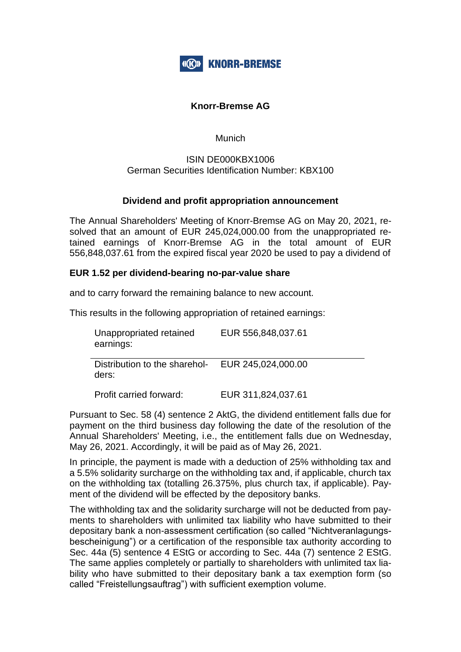

## **Knorr-Bremse AG**

Munich

## ISIN DE000KBX1006 German Securities Identification Number: KBX100

## **Dividend and profit appropriation announcement**

The Annual Shareholders' Meeting of Knorr-Bremse AG on May 20, 2021, resolved that an amount of EUR 245,024,000.00 from the unappropriated retained earnings of Knorr-Bremse AG in the total amount of EUR 556,848,037.61 from the expired fiscal year 2020 be used to pay a dividend of

## **EUR 1.52 per dividend-bearing no-par-value share**

and to carry forward the remaining balance to new account.

This results in the following appropriation of retained earnings:

| Unappropriated retained<br>earnings:   | EUR 556,848,037.61 |
|----------------------------------------|--------------------|
| Distribution to the sharehol-<br>ders: | EUR 245,024,000.00 |

Profit carried forward: EUR 311,824,037.61

Pursuant to Sec. 58 (4) sentence 2 AktG, the dividend entitlement falls due for payment on the third business day following the date of the resolution of the Annual Shareholders' Meeting, i.e., the entitlement falls due on Wednesday, May 26, 2021. Accordingly, it will be paid as of May 26, 2021.

In principle, the payment is made with a deduction of 25% withholding tax and a 5.5% solidarity surcharge on the withholding tax and, if applicable, church tax on the withholding tax (totalling 26.375%, plus church tax, if applicable). Payment of the dividend will be effected by the depository banks.

The withholding tax and the solidarity surcharge will not be deducted from payments to shareholders with unlimited tax liability who have submitted to their depositary bank a non-assessment certification (so called "Nichtveranlagungsbescheinigung") or a certification of the responsible tax authority according to Sec. 44a (5) sentence 4 EStG or according to Sec. 44a (7) sentence 2 EStG. The same applies completely or partially to shareholders with unlimited tax liability who have submitted to their depositary bank a tax exemption form (so called "Freistellungsauftrag") with sufficient exemption volume.